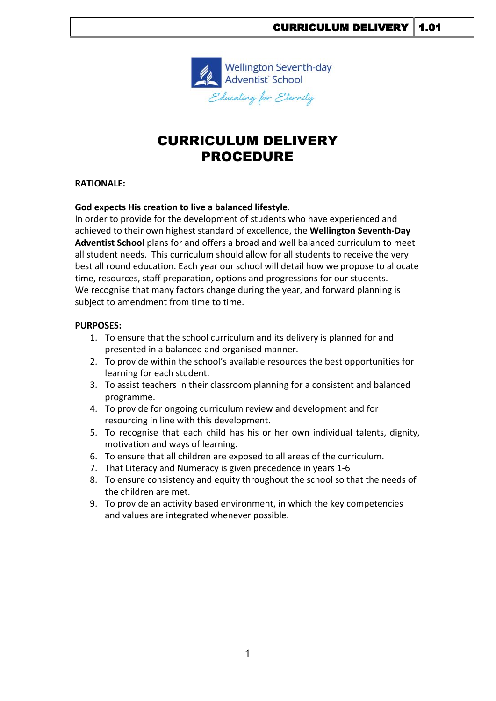

# CURRICULUM DELIVERY PROCEDURE

### **RATIONALE:**

### **God expects His creation to live a balanced lifestyle**.

In order to provide for the development of students who have experienced and achieved to their own highest standard of excellence, the **Wellington Seventh-Day Adventist School** plans for and offers a broad and well balanced curriculum to meet all student needs. This curriculum should allow for all students to receive the very best all round education. Each year our school will detail how we propose to allocate time, resources, staff preparation, options and progressions for our students. We recognise that many factors change during the year, and forward planning is subject to amendment from time to time.

#### **PURPOSES:**

- 1. To ensure that the school curriculum and its delivery is planned for and presented in a balanced and organised manner.
- 2. To provide within the school's available resources the best opportunities for learning for each student.
- 3. To assist teachers in their classroom planning for a consistent and balanced programme.
- 4. To provide for ongoing curriculum review and development and for resourcing in line with this development.
- 5. To recognise that each child has his or her own individual talents, dignity, motivation and ways of learning.
- 6. To ensure that all children are exposed to all areas of the curriculum.
- 7. That Literacy and Numeracy is given precedence in years 1-6
- 8. To ensure consistency and equity throughout the school so that the needs of the children are met.
- 9. To provide an activity based environment, in which the key competencies and values are integrated whenever possible.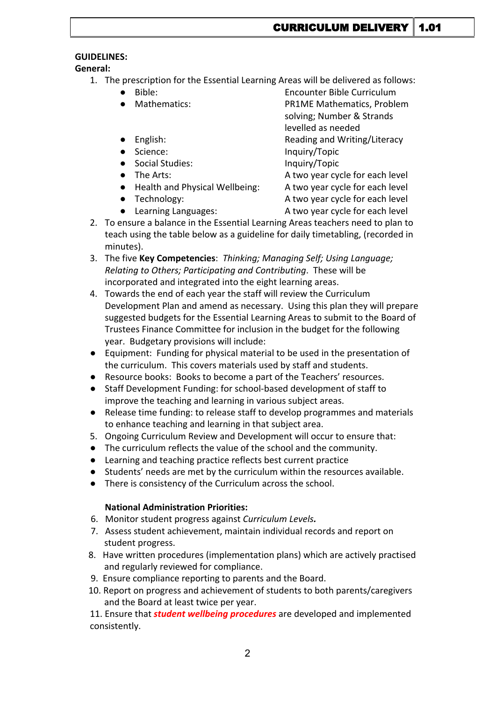## **GUIDELINES:**

**General:**

- 1. The prescription for the Essential Learning Areas will be delivered as follows:
	-
	-
	- Bible: Encounter Bible Curriculum Mathematics: PR1ME Mathematics, Problem solving; Number & Strands levelled as needed English: English: Reading and Writing/Literacy ● Science: Inquiry/Topic ● Social Studies: Inquiry/Topic
	- The Arts:  $\bullet$  The Arts:  $\bullet$  A two year cycle for each level
	- Health and Physical Wellbeing: A two year cycle for each level
	-
	- Learning Languages: <br>A two year cycle for each level
	- Technology: <br>
	△ Technology: A two year cycle for each level
- 2. To ensure a balance in the Essential Learning Areas teachers need to plan to teach using the table below as a guideline for daily timetabling, (recorded in minutes).
- 3. The five **Key Competencies**: *Thinking; Managing Self; Using Language; Relating to Others; Participating and Contributing*. These will be incorporated and integrated into the eight learning areas.
- 4. Towards the end of each year the staff will review the Curriculum Development Plan and amend as necessary. Using this plan they will prepare suggested budgets for the Essential Learning Areas to submit to the Board of Trustees Finance Committee for inclusion in the budget for the following year. Budgetary provisions will include:
- Equipment: Funding for physical material to be used in the presentation of the curriculum. This covers materials used by staff and students.
- Resource books: Books to become a part of the Teachers' resources.
- Staff Development Funding: for school-based development of staff to improve the teaching and learning in various subject areas.
- Release time funding: to release staff to develop programmes and materials to enhance teaching and learning in that subject area.
- 5. Ongoing Curriculum Review and Development will occur to ensure that:
- The curriculum reflects the value of the school and the community.
- Learning and teaching practice reflects best current practice
- Students' needs are met by the curriculum within the resources available.
- There is consistency of the Curriculum across the school.

## **National Administration Priorities:**

- 6. Monitor student progress against *Curriculum Levels.*
- 7. Assess student achievement, maintain individual records and report on student progress.
- 8. Have written procedures (implementation plans) which are actively practised and regularly reviewed for compliance.
- 9. Ensure compliance reporting to parents and the Board.
- 10. Report on progress and achievement of students to both parents/caregivers and the Board at least twice per year.

11. Ensure that *student wellbeing procedures* are developed and implemented consistently.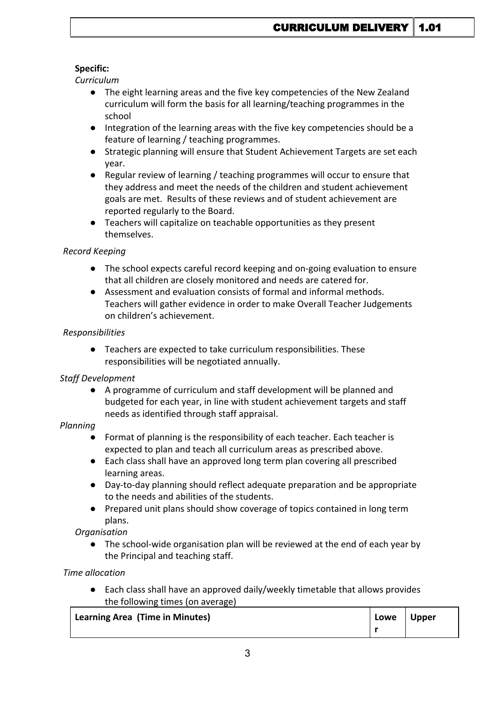## **Specific:**

*Curriculum*

- The eight learning areas and the five key competencies of the New Zealand curriculum will form the basis for all learning/teaching programmes in the school
- Integration of the learning areas with the five key competencies should be a feature of learning / teaching programmes.
- Strategic planning will ensure that Student Achievement Targets are set each year.
- Regular review of learning / teaching programmes will occur to ensure that they address and meet the needs of the children and student achievement goals are met. Results of these reviews and of student achievement are reported regularly to the Board.
- Teachers will capitalize on teachable opportunities as they present themselves.

## *Record Keeping*

- The school expects careful record keeping and on-going evaluation to ensure that all children are closely monitored and needs are catered for.
- Assessment and evaluation consists of formal and informal methods. Teachers will gather evidence in order to make Overall Teacher Judgements on children's achievement.

## *Responsibilities*

● Teachers are expected to take curriculum responsibilities. These responsibilities will be negotiated annually.

## *Staff Development*

● A programme of curriculum and staff development will be planned and budgeted for each year, in line with student achievement targets and staff needs as identified through staff appraisal.

## *Planning*

- Format of planning is the responsibility of each teacher. Each teacher is expected to plan and teach all curriculum areas as prescribed above.
- Each class shall have an approved long term plan covering all prescribed learning areas.
- Day-to-day planning should reflect adequate preparation and be appropriate to the needs and abilities of the students.
- Prepared unit plans should show coverage of topics contained in long term plans.

*Organisation*

The school-wide organisation plan will be reviewed at the end of each year by the Principal and teaching staff.

*Time allocation*

● Each class shall have an approved daily/weekly timetable that allows provides the following times (on average)

| Learning Area (Time in Minutes) | Lowe | Upper |  |
|---------------------------------|------|-------|--|
|                                 |      |       |  |